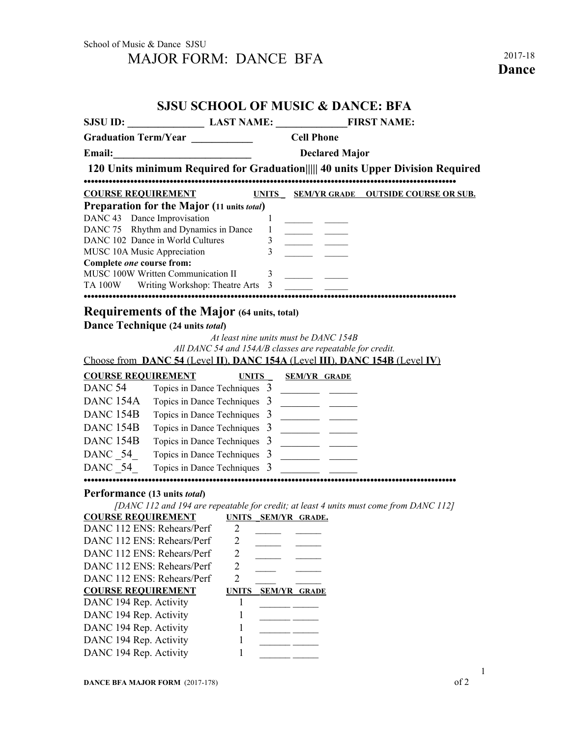## **SJSU SCHOOL OF MUSIC & DANCE: BFA**

|                                                          |                              | SJSU ID: LAST NAME: FIRST NAME:                                                                                                                                                                                                                                                                                                                                                                                                                                                          |
|----------------------------------------------------------|------------------------------|------------------------------------------------------------------------------------------------------------------------------------------------------------------------------------------------------------------------------------------------------------------------------------------------------------------------------------------------------------------------------------------------------------------------------------------------------------------------------------------|
| Graduation Term/Year ____________                        |                              | <b>Cell Phone</b>                                                                                                                                                                                                                                                                                                                                                                                                                                                                        |
| Email:                                                   |                              | <b>Declared Major</b>                                                                                                                                                                                                                                                                                                                                                                                                                                                                    |
|                                                          |                              | 120 Units minimum Required for Graduation       40 units Upper Division Required                                                                                                                                                                                                                                                                                                                                                                                                         |
| <b>COURSE REQUIREMENT</b>                                |                              | UNITS SEM/YR GRADE OUTSIDE COURSE OR SUB.                                                                                                                                                                                                                                                                                                                                                                                                                                                |
| Preparation for the Major (11 units total)               |                              |                                                                                                                                                                                                                                                                                                                                                                                                                                                                                          |
| DANC 43 Dance Improvisation                              |                              | 1                                                                                                                                                                                                                                                                                                                                                                                                                                                                                        |
| DANC 75 Rhythm and Dynamics in Dance                     |                              | $\mathbf{1}$<br><u> Tanzania (m. 1958)</u>                                                                                                                                                                                                                                                                                                                                                                                                                                               |
| DANC 102 Dance in World Cultures                         |                              | 3 <sup>7</sup><br>$\overline{3}$                                                                                                                                                                                                                                                                                                                                                                                                                                                         |
| MUSC 10A Music Appreciation<br>Complete one course from: |                              |                                                                                                                                                                                                                                                                                                                                                                                                                                                                                          |
| MUSC 100W Written Communication II                       |                              | $\mathbf{3}$                                                                                                                                                                                                                                                                                                                                                                                                                                                                             |
| TA 100W Writing Workshop: Theatre Arts 3                 |                              |                                                                                                                                                                                                                                                                                                                                                                                                                                                                                          |
|                                                          |                              |                                                                                                                                                                                                                                                                                                                                                                                                                                                                                          |
| <b>Requirements of the Major (64 units, total)</b>       |                              |                                                                                                                                                                                                                                                                                                                                                                                                                                                                                          |
| Dance Technique (24 units total)                         |                              |                                                                                                                                                                                                                                                                                                                                                                                                                                                                                          |
|                                                          |                              | At least nine units must be DANC 154B                                                                                                                                                                                                                                                                                                                                                                                                                                                    |
|                                                          |                              | All DANC 54 and 154A/B classes are repeatable for credit.                                                                                                                                                                                                                                                                                                                                                                                                                                |
|                                                          |                              | Choose from DANC 54 (Level II), DANC 154A (Level III), DANC 154B (Level IV)                                                                                                                                                                                                                                                                                                                                                                                                              |
| <b>COURSE REQUIREMENT</b>                                | <b>UNITS</b>                 | <b>SEM/YR GRADE</b>                                                                                                                                                                                                                                                                                                                                                                                                                                                                      |
| DANC 54                                                  | Topics in Dance Techniques 3 |                                                                                                                                                                                                                                                                                                                                                                                                                                                                                          |
| DANC <sub>154A</sub>                                     | Topics in Dance Techniques 3 | <u> 1989 - Andrea Station Books and the Books and the Books and the Books and the Books and the Books and the Books and the Books and the Books and the Books and the Books and the Books and the Books and the Books and the Bo</u>                                                                                                                                                                                                                                                     |
| DANC <sub>154B</sub>                                     | Topics in Dance Techniques 3 |                                                                                                                                                                                                                                                                                                                                                                                                                                                                                          |
| DANC <sub>154B</sub>                                     | Topics in Dance Techniques 3 | $\frac{1}{1-\frac{1}{1-\frac{1}{1-\frac{1}{1-\frac{1}{1-\frac{1}{1-\frac{1}{1-\frac{1}{1-\frac{1}{1-\frac{1}{1-\frac{1}{1-\frac{1}{1-\frac{1}{1-\frac{1}{1-\frac{1}{1-\frac{1}{1-\frac{1}{1-\frac{1}{1-\frac{1}{1-\frac{1}{1-\frac{1}{1-\frac{1}{1-\frac{1}{1-\frac{1}{1-\frac{1}{1-\frac{1}{1-\frac{1}{1-\frac{1}{1-\frac{1}{1-\frac{1}{1-\frac{1}{1-\frac{1}{1-\frac{1}{1-\frac{1}{1-\frac{1}{1-\frac{1}{1-\frac{1$                                                                    |
| DANC <sub>154B</sub>                                     |                              | Topics in Dance Techniques 3                                                                                                                                                                                                                                                                                                                                                                                                                                                             |
| DANC 54                                                  | Topics in Dance Techniques 3 | $\begin{tabular}{ll} \multicolumn{1}{l}{} & \multicolumn{1}{l}{} & \multicolumn{1}{l}{} \\ \multicolumn{1}{l}{} & \multicolumn{1}{l}{} & \multicolumn{1}{l}{} \\ \multicolumn{1}{l}{} & \multicolumn{1}{l}{} & \multicolumn{1}{l}{} \\ \multicolumn{1}{l}{} & \multicolumn{1}{l}{} & \multicolumn{1}{l}{} \\ \multicolumn{1}{l}{} & \multicolumn{1}{l}{} & \multicolumn{1}{l}{} \\ \multicolumn{1}{l}{} & \multicolumn{1}{l}{} & \multicolumn{1}{l}{} \\ \multicolumn{1}{l}{} & \multic$ |
| DANC 54                                                  | Topics in Dance Techniques 3 |                                                                                                                                                                                                                                                                                                                                                                                                                                                                                          |
|                                                          |                              |                                                                                                                                                                                                                                                                                                                                                                                                                                                                                          |
| Performance (13 units <i>total</i> )                     |                              |                                                                                                                                                                                                                                                                                                                                                                                                                                                                                          |
| <b>COURSE REQUIREMENT</b>                                | UNITS SEM/YR GRADE.          | [DANC 112 and 194 are repeatable for credit; at least 4 units must come from DANC 112]                                                                                                                                                                                                                                                                                                                                                                                                   |
| DANC 112 ENS: Rehears/Perf 2                             |                              |                                                                                                                                                                                                                                                                                                                                                                                                                                                                                          |
| DANC 112 ENS: Rehears/Perf                               | 2                            |                                                                                                                                                                                                                                                                                                                                                                                                                                                                                          |
| DANC 112 ENS: Rehears/Perf                               | $\overline{2}$               |                                                                                                                                                                                                                                                                                                                                                                                                                                                                                          |
| DANC 112 ENS: Rehears/Perf                               | $\overline{2}$               |                                                                                                                                                                                                                                                                                                                                                                                                                                                                                          |
| DANC 112 ENS: Rehears/Perf                               | $\overline{2}$               |                                                                                                                                                                                                                                                                                                                                                                                                                                                                                          |
| <b>COURSE REQUIREMENT</b>                                | <b>UNITS</b>                 | <b>SEM/YR GRADE</b>                                                                                                                                                                                                                                                                                                                                                                                                                                                                      |
| DANC 194 Rep. Activity                                   | 1                            |                                                                                                                                                                                                                                                                                                                                                                                                                                                                                          |
| DANC 194 Rep. Activity                                   | 1                            |                                                                                                                                                                                                                                                                                                                                                                                                                                                                                          |
| DANC 194 Rep. Activity                                   | 1                            |                                                                                                                                                                                                                                                                                                                                                                                                                                                                                          |
| DANC 194 Rep. Activity                                   | 1                            |                                                                                                                                                                                                                                                                                                                                                                                                                                                                                          |
| DANC 194 Rep. Activity                                   | 1                            |                                                                                                                                                                                                                                                                                                                                                                                                                                                                                          |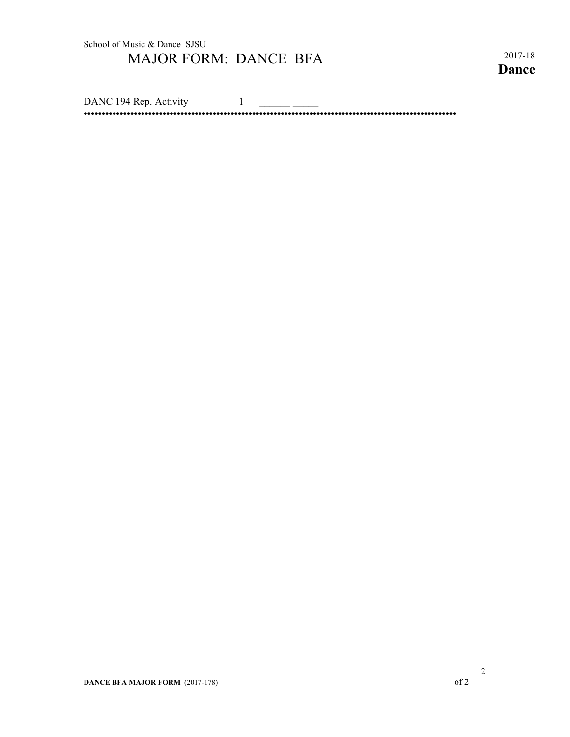**Dance**

DANC 194 Rep. Activity 1 **••••••••••••••••••••••••••••••••••••••••••••••••••••••••••••••••••••••••••••••••••••••••••••••••••••••••**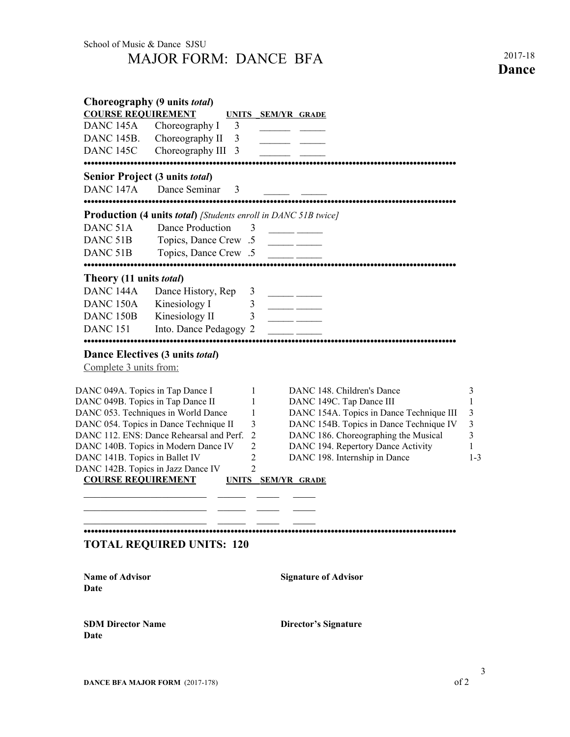School of Music & Dance SJSU MAJOR FORM: DANCE BFA 2017-18

**Dance**

| <b>COURSE REQUIREMENT</b>         | Choreography (9 units <i>total</i> )                                               |                     | UNITS SEM/YR GRADE                                                              |         |
|-----------------------------------|------------------------------------------------------------------------------------|---------------------|---------------------------------------------------------------------------------|---------|
| DANC <sub>145A</sub>              | Choreography I<br>3                                                                |                     |                                                                                 |         |
| DANC 145B.                        | Choreography II<br>3                                                               |                     |                                                                                 |         |
| DANC 145C                         | Choreography III<br>3                                                              |                     |                                                                                 |         |
|                                   | Senior Project (3 units <i>total</i> )                                             |                     |                                                                                 |         |
| DANC <sub>147A</sub><br>          | Dance Seminar<br>3                                                                 |                     |                                                                                 |         |
|                                   | <br><b>Production (4 units total)</b> [Students enroll in DANC 51B twice]          |                     |                                                                                 |         |
| DANC <sub>51A</sub>               | Dance Production                                                                   | 3                   | <u> 1990 - Andrea Starten e</u>                                                 |         |
| DANC <sub>51B</sub>               | Topics, Dance Crew .5                                                              |                     | <u> 1999 - Johann John Harry Barnett, fransk konge</u>                          |         |
| DANC <sub>51B</sub>               | Topics, Dance Crew .5                                                              |                     |                                                                                 |         |
| Theory (11 units <i>total</i> )   |                                                                                    |                     |                                                                                 |         |
| DANC <sub>144A</sub>              | Dance History, Rep                                                                 | 3                   |                                                                                 |         |
| DANC <sub>150A</sub>              | Kinesiology I                                                                      | 3                   |                                                                                 |         |
| DANC <sub>150</sub> B             | Kinesiology II                                                                     | 3                   |                                                                                 |         |
| <b>DANC 151</b>                   | Into. Dance Pedagogy 2                                                             |                     |                                                                                 |         |
|                                   | Dance Electives (3 units <i>total</i> )                                            |                     |                                                                                 |         |
| Complete 3 units from:            |                                                                                    |                     |                                                                                 |         |
| DANC 049A. Topics in Tap Dance I  |                                                                                    | 1                   | DANC 148. Children's Dance                                                      | 3       |
| DANC 049B. Topics in Tap Dance II |                                                                                    | 1                   | DANC 149C. Tap Dance III                                                        | 1       |
|                                   | DANC 053. Techniques in World Dance                                                | 1                   | DANC 154A. Topics in Dance Technique III                                        | 3       |
|                                   | DANC 054. Topics in Dance Technique II<br>DANC 112. ENS: Dance Rehearsal and Perf. | 3<br>$\overline{2}$ | DANC 154B. Topics in Dance Technique IV<br>DANC 186. Choreographing the Musical | 3<br>3  |
|                                   | DANC 140B. Topics in Modern Dance IV                                               | $\overline{2}$      | DANC 194. Repertory Dance Activity                                              | 1       |
| DANC 141B. Topics in Ballet IV    |                                                                                    | 2                   | DANC 198. Internship in Dance                                                   | $1 - 3$ |
|                                   | DANC 142B. Topics in Jazz Dance IV                                                 | $\overline{2}$      |                                                                                 |         |
| <b>COURSE REQUIREMENT</b>         |                                                                                    |                     | UNITS SEM/YR GRADE                                                              |         |
|                                   |                                                                                    |                     |                                                                                 |         |
|                                   |                                                                                    |                     |                                                                                 |         |
|                                   | <b>TOTAL REQUIRED UNITS: 120</b>                                                   |                     |                                                                                 |         |
|                                   |                                                                                    |                     |                                                                                 |         |
| <b>Name of Advisor</b><br>Date    |                                                                                    |                     | <b>Signature of Advisor</b>                                                     |         |
| <b>SDM Director Name</b><br>Date  |                                                                                    |                     | <b>Director's Signature</b>                                                     |         |
|                                   |                                                                                    |                     |                                                                                 |         |